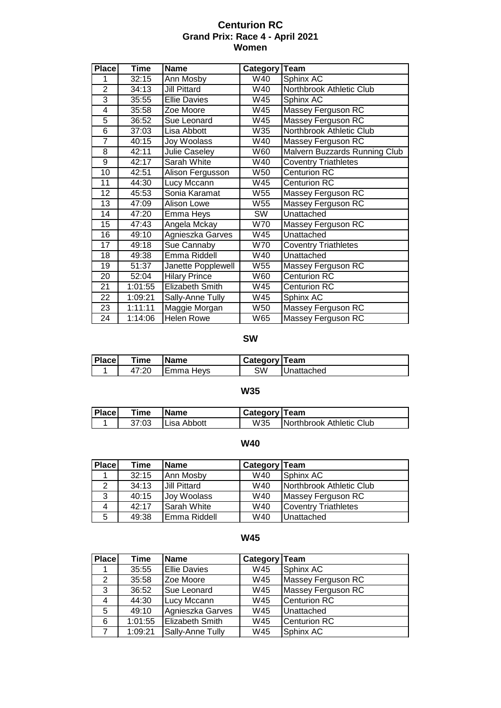### **Centurion RC Grand Prix: Race 4 - April 2021 Women**

| <b>Place</b>   | Time    | <b>Name</b>            | Category        | <b>Team</b>                   |
|----------------|---------|------------------------|-----------------|-------------------------------|
|                | 32:15   | Ann Mosby              | W40             | Sphinx AC                     |
| $\overline{2}$ | 34:13   | <b>Jill Pittard</b>    | W40             | Northbrook Athletic Club      |
| 3              | 35:55   | <b>Ellie Davies</b>    | W45             | Sphinx AC                     |
| 4              | 35:58   | Zoe Moore              | W45             | Massey Ferguson RC            |
| 5              | 36:52   | Sue Leonard            | W45             | Massey Ferguson RC            |
| 6              | 37:03   | Lisa Abbott            | W35             | Northbrook Athletic Club      |
| $\overline{7}$ | 40:15   | Joy Woolass            | W40             | Massey Ferguson RC            |
| 8              | 42:11   | <b>Julie Caseley</b>   | W60             | Malvern Buzzards Running Club |
| 9              | 42:17   | Sarah White            | W40             | <b>Coventry Triathletes</b>   |
| 10             | 42:51   | Alison Fergusson       | W <sub>50</sub> | <b>Centurion RC</b>           |
| 11             | 44:30   | <b>Lucy Mccann</b>     | W45             | <b>Centurion RC</b>           |
| 12             | 45:53   | Sonia Karamat          | W <sub>55</sub> | Massey Ferguson RC            |
| 13             | 47:09   | <b>Alison Lowe</b>     | W55             | Massey Ferguson RC            |
| 14             | 47:20   | Emma Heys              | SW              | Unattached                    |
| 15             | 47:43   | Angela Mckay           | W70             | Massey Ferguson RC            |
| 16             | 49:10   | Agnieszka Garves       | W45             | Unattached                    |
| 17             | 49:18   | <b>Sue Cannaby</b>     | W70             | <b>Coventry Triathletes</b>   |
| 18             | 49:38   | Emma Riddell           | W40             | Unattached                    |
| 19             | 51:37   | Janette Popplewell     | W55             | Massey Ferguson RC            |
| 20             | 52:04   | <b>Hilary Prince</b>   | W60             | <b>Centurion RC</b>           |
| 21             | 1:01:55 | <b>Elizabeth Smith</b> | W45             | <b>Centurion RC</b>           |
| 22             | 1:09:21 | Sally-Anne Tully       | W45             | Sphinx AC                     |
| 23             | 1:11:11 | Maggie Morgan          | W <sub>50</sub> | Massey Ferguson RC            |
| 24             | 1:14:06 | <b>Helen Rowe</b>      | W65             | Massey Ferguson RC            |

## **SW**

| <b> Place </b> | r <sub>ime</sub> | 'Name            | <b>Category Team</b> |                   |
|----------------|------------------|------------------|----------------------|-------------------|
|                | 47:20            | <b>Emma Heys</b> | SW                   | <b>Unattached</b> |

#### **W35**

| l Place l | Time  | <b>Name</b>         | Category   Team |                          |
|-----------|-------|---------------------|-----------------|--------------------------|
|           | 37:03 | <b>ILisa Abbott</b> | W35             | Northbrook Athletic Club |

# **W40**

| <b>Place</b> | Time  | <b>Name</b>         | Category Team |                             |
|--------------|-------|---------------------|---------------|-----------------------------|
|              | 32:15 | Ann Mosby           | W40           | Sphinx AC                   |
| 2            | 34:13 | <b>Jill Pittard</b> | W40           | Northbrook Athletic Club    |
| 3            | 40:15 | Joy Woolass         | W40           | Massey Ferguson RC          |
| 4            | 42:17 | Sarah White         | W40           | <b>Coventry Triathletes</b> |
| 5            | 49:38 | Emma Riddell        | W40           | Unattached                  |

#### **W45**

| <b>Place</b> | Time    | <b>Name</b>            | Category Team |                     |
|--------------|---------|------------------------|---------------|---------------------|
|              | 35:55   | <b>Ellie Davies</b>    | W45           | Sphinx AC           |
| 2            | 35:58   | Zoe Moore              | W45           | Massey Ferguson RC  |
| 3            | 36:52   | Sue Leonard            | W45           | Massey Ferguson RC  |
| 4            | 44:30   | Lucy Mccann            | W45           | <b>Centurion RC</b> |
| 5.           | 49:10   | Agnieszka Garves       | W45           | Unattached          |
| 6            | 1:01:55 | <b>Elizabeth Smith</b> | W45           | <b>Centurion RC</b> |
|              | 1:09:21 | Sally-Anne Tully       | W45           | Sphinx AC           |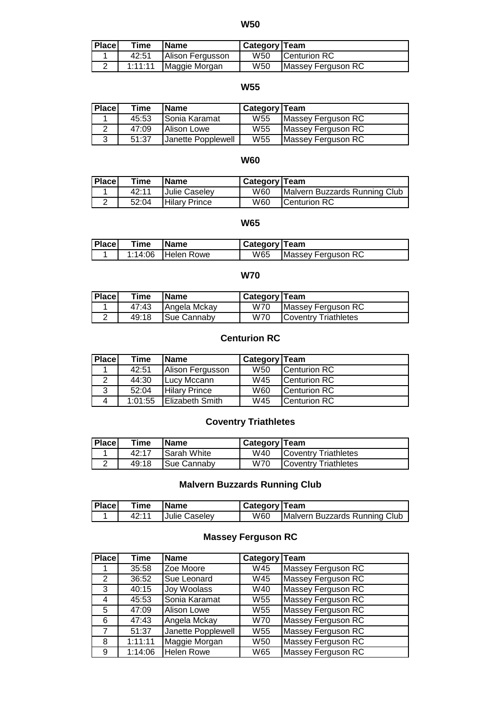### **W50**

| <b>Place</b> | Time  | <b>IName</b>            | Category   Team |                     |
|--------------|-------|-------------------------|-----------------|---------------------|
|              | 42:51 | Alison Fergusson        | W50             | <b>Centurion RC</b> |
|              |       | 1:11:11   Maggie Morgan | W50             | Massey Ferguson RC  |

#### **W55**

| <b>Place</b> | Time  | <b>Name</b>        | <b>Category Team</b> |                    |
|--------------|-------|--------------------|----------------------|--------------------|
|              | 45:53 | Sonia Karamat      | W <sub>55</sub>      | Massey Ferguson RC |
|              | 47:09 | <b>Alison Lowe</b> | W <sub>55</sub>      | Massey Ferguson RC |
| 2            | 51:37 | Janette Popplewell | W <sub>55</sub>      | Massey Ferguson RC |

#### **W60**

| <b>Place</b> | Time  | <b>Name</b>          | <b>Category Team</b> |                               |
|--------------|-------|----------------------|----------------------|-------------------------------|
|              | 42:11 | Julie Caseley        | W60                  | Malvern Buzzards Running Club |
|              | 52:04 | <b>Hilary Prince</b> | W60                  | <b>ICenturion RC</b>          |

### **W65**

| <b>Place</b> | Time | <b>IName</b>       | Category   Team |                    |
|--------------|------|--------------------|-----------------|--------------------|
|              |      | 1:14:06 Helen Rowe | W65             | Massey Ferguson RC |

### **W70**

| <b>Place</b> | Time  | <b>Name</b>  | Category   Team |                              |
|--------------|-------|--------------|-----------------|------------------------------|
|              | 47:43 | Angela Mckay | W70             | Massey Ferguson RC           |
|              | 49:18 | Sue Cannaby  | W70             | <b>ICoventry Triathletes</b> |

# **Centurion RC**

| Place | Time    | <b>Name</b>          | <b>Category Team</b> |              |
|-------|---------|----------------------|----------------------|--------------|
|       | 42:51   | Alison Fergusson     | W <sub>50</sub>      | Centurion RC |
|       | 44:30   | Lucy Mccann          | W45                  | Centurion RC |
| 3     | 52:04   | <b>Hilary Prince</b> | W60                  | Centurion RC |
| 4     | 1:01:55 | Elizabeth Smith      | W45                  | Centurion RC |

# **Coventry Triathletes**

| <b>Place</b> | Time  | <b>Name</b>         | Category   Team |                              |
|--------------|-------|---------------------|-----------------|------------------------------|
|              | 42:17 | <b>Sarah White</b>  | W40             | <b>ICoventry Triathletes</b> |
|              | 49:18 | <b>ISue Cannaby</b> | <b>W70</b>      | <b>ICoventry Triathletes</b> |

# **Malvern Buzzards Running Club**

| <b>Place</b> | Time  | <b>IName</b>         | Category   Team |                               |
|--------------|-------|----------------------|-----------------|-------------------------------|
|              | 42:11 | <b>Julie Caseley</b> | W60             | Malvern Buzzards Running Club |

## **Massey Ferguson RC**

| <b>Place</b>         | Time    | <b>Name</b>        | Category Team   |                           |
|----------------------|---------|--------------------|-----------------|---------------------------|
|                      | 35:58   | Zoe Moore          | W45             | Massey Ferguson RC        |
| $\mathbf{2}^{\circ}$ | 36:52   | Sue Leonard        | W45             | Massey Ferguson RC        |
| 3                    | 40:15   | Joy Woolass        | W40             | Massey Ferguson RC        |
| 4                    | 45:53   | Sonia Karamat      | W <sub>55</sub> | <b>Massey Ferguson RC</b> |
| 5                    | 47:09   | <b>Alison Lowe</b> | W <sub>55</sub> | <b>Massey Ferguson RC</b> |
| 6                    | 47:43   | Angela Mckay       | <b>W70</b>      | <b>Massey Ferguson RC</b> |
| 7                    | 51:37   | Janette Popplewell | W <sub>55</sub> | Massey Ferguson RC        |
| 8                    | 1:11:11 | Maggie Morgan      | W <sub>50</sub> | <b>Massey Ferguson RC</b> |
| 9                    | 1:14:06 | <b>Helen Rowe</b>  | W65             | Massey Ferguson RC        |